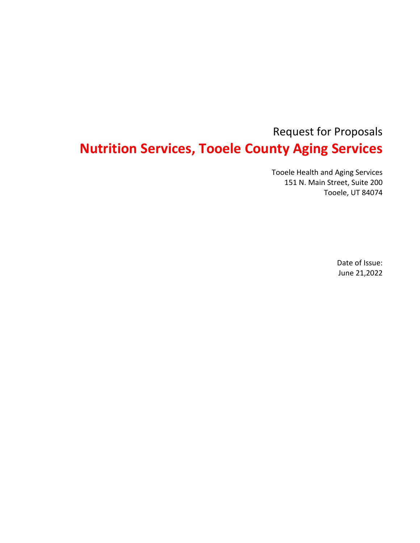### Request for Proposals **Nutrition Services, Tooele County Aging Services**

Tooele Health and Aging Services 151 N. Main Street, Suite 200 Tooele, UT 84074

> Date of Issue: June 21,2022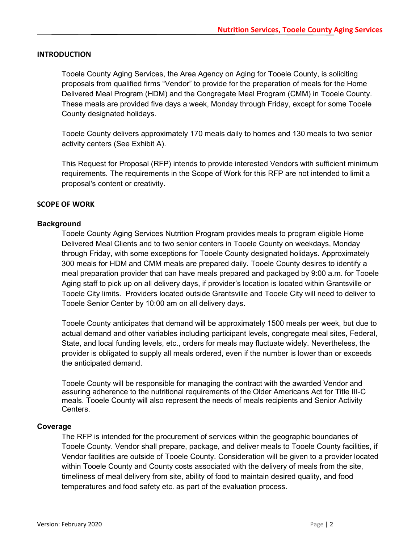#### **INTRODUCTION**

Tooele County Aging Services, the Area Agency on Aging for Tooele County, is soliciting proposals from qualified firms "Vendor" to provide for the preparation of meals for the Home Delivered Meal Program (HDM) and the Congregate Meal Program (CMM) in Tooele County. These meals are provided five days a week, Monday through Friday, except for some Tooele County designated holidays.

Tooele County delivers approximately 170 meals daily to homes and 130 meals to two senior activity centers (See Exhibit A).

This Request for Proposal (RFP) intends to provide interested Vendors with sufficient minimum requirements. The requirements in the Scope of Work for this RFP are not intended to limit a proposal's content or creativity.

#### **SCOPE OF WORK**

#### **Background**

Tooele County Aging Services Nutrition Program provides meals to program eligible Home Delivered Meal Clients and to two senior centers in Tooele County on weekdays, Monday through Friday, with some exceptions for Tooele County designated holidays. Approximately 300 meals for HDM and CMM meals are prepared daily. Tooele County desires to identify a meal preparation provider that can have meals prepared and packaged by 9:00 a.m. for Tooele Aging staff to pick up on all delivery days, if provider's location is located within Grantsville or Tooele City limits. Providers located outside Grantsville and Tooele City will need to deliver to Tooele Senior Center by 10:00 am on all delivery days.

Tooele County anticipates that demand will be approximately 1500 meals per week, but due to actual demand and other variables including participant levels, congregate meal sites, Federal, State, and local funding levels, etc., orders for meals may fluctuate widely. Nevertheless, the provider is obligated to supply all meals ordered, even if the number is lower than or exceeds the anticipated demand.

Tooele County will be responsible for managing the contract with the awarded Vendor and assuring adherence to the nutritional requirements of the Older Americans Act for Title III-C meals. Tooele County will also represent the needs of meals recipients and Senior Activity Centers.

#### **Coverage**

The RFP is intended for the procurement of services within the geographic boundaries of Tooele County. Vendor shall prepare, package, and deliver meals to Tooele County facilities, if Vendor facilities are outside of Tooele County. Consideration will be given to a provider located within Tooele County and County costs associated with the delivery of meals from the site, timeliness of meal delivery from site, ability of food to maintain desired quality, and food temperatures and food safety etc. as part of the evaluation process.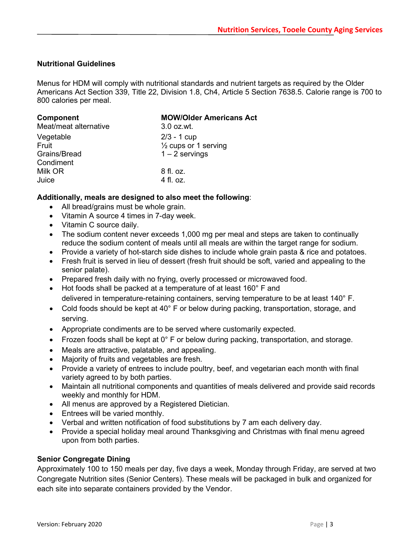#### **Nutritional Guidelines**

Menus for HDM will comply with nutritional standards and nutrient targets as required by the Older Americans Act Section 339, Title 22, Division 1.8, Ch4, Article 5 Section 7638.5. Calorie range is 700 to 800 calories per meal.

| <b>Component</b>      | <b>MOW/Older Americans Act</b>  |
|-----------------------|---------------------------------|
| Meat/meat alternative | $3.0$ oz.wt.                    |
| Vegetable             | $2/3 - 1$ cup                   |
| Fruit                 | $\frac{1}{2}$ cups or 1 serving |
| Grains/Bread          | $1 - 2$ servings                |
| Condiment             |                                 |
| Milk OR               | 8 fl. oz.                       |
| Juice                 | 4 fl. oz.                       |

#### **Additionally, meals are designed to also meet the following**:

- All bread/grains must be whole grain.
- Vitamin A source 4 times in 7-day week.
- Vitamin C source daily.
- The sodium content never exceeds 1,000 mg per meal and steps are taken to continually reduce the sodium content of meals until all meals are within the target range for sodium.
- Provide a variety of hot-starch side dishes to include whole grain pasta & rice and potatoes.
- Fresh fruit is served in lieu of dessert (fresh fruit should be soft, varied and appealing to the senior palate).
- Prepared fresh daily with no frying, overly processed or microwaved food.
- Hot foods shall be packed at a temperature of at least 160° F and delivered in temperature-retaining containers, serving temperature to be at least 140° F.
- Cold foods should be kept at 40° F or below during packing, transportation, storage, and serving.
- Appropriate condiments are to be served where customarily expected.
- Frozen foods shall be kept at 0° F or below during packing, transportation, and storage.
- Meals are attractive, palatable, and appealing.
- Majority of fruits and vegetables are fresh.
- Provide a variety of entrees to include poultry, beef, and vegetarian each month with final variety agreed to by both parties.
- Maintain all nutritional components and quantities of meals delivered and provide said records weekly and monthly for HDM.
- All menus are approved by a Registered Dietician.
- Entrees will be varied monthly.
- Verbal and written notification of food substitutions by 7 am each delivery day.
- Provide a special holiday meal around Thanksgiving and Christmas with final menu agreed upon from both parties.

#### **Senior Congregate Dining**

Approximately 100 to 150 meals per day, five days a week, Monday through Friday, are served at two Congregate Nutrition sites (Senior Centers). These meals will be packaged in bulk and organized for each site into separate containers provided by the Vendor.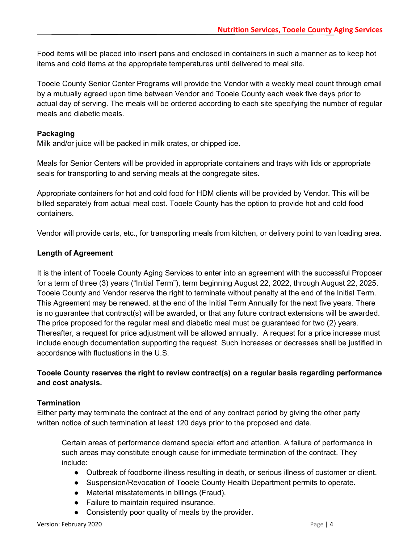Food items will be placed into insert pans and enclosed in containers in such a manner as to keep hot items and cold items at the appropriate temperatures until delivered to meal site.

Tooele County Senior Center Programs will provide the Vendor with a weekly meal count through email by a mutually agreed upon time between Vendor and Tooele County each week five days prior to actual day of serving. The meals will be ordered according to each site specifying the number of regular meals and diabetic meals.

#### **Packaging**

Milk and/or juice will be packed in milk crates, or chipped ice.

Meals for Senior Centers will be provided in appropriate containers and trays with lids or appropriate seals for transporting to and serving meals at the congregate sites.

Appropriate containers for hot and cold food for HDM clients will be provided by Vendor. This will be billed separately from actual meal cost. Tooele County has the option to provide hot and cold food containers.

Vendor will provide carts, etc., for transporting meals from kitchen, or delivery point to van loading area.

#### **Length of Agreement**

It is the intent of Tooele County Aging Services to enter into an agreement with the successful Proposer for a term of three (3) years ("Initial Term"), term beginning August 22, 2022, through August 22, 2025. Tooele County and Vendor reserve the right to terminate without penalty at the end of the Initial Term. This Agreement may be renewed, at the end of the Initial Term Annually for the next five years. There is no guarantee that contract(s) will be awarded, or that any future contract extensions will be awarded. The price proposed for the regular meal and diabetic meal must be guaranteed for two (2) years. Thereafter, a request for price adjustment will be allowed annually. A request for a price increase must include enough documentation supporting the request. Such increases or decreases shall be justified in accordance with fluctuations in the U.S.

#### **Tooele County reserves the right to review contract(s) on a regular basis regarding performance and cost analysis.**

#### **Termination**

Either party may terminate the contract at the end of any contract period by giving the other party written notice of such termination at least 120 days prior to the proposed end date.

Certain areas of performance demand special effort and attention. A failure of performance in such areas may constitute enough cause for immediate termination of the contract. They include:

- Outbreak of foodborne illness resulting in death, or serious illness of customer or client.
- Suspension/Revocation of Tooele County Health Department permits to operate.
- Material misstatements in billings (Fraud).
- Failure to maintain required insurance.
- Consistently poor quality of meals by the provider.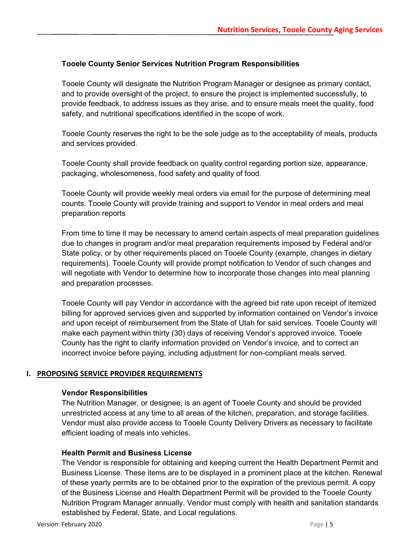#### **Tooele County Senior Services Nutrition Program Responsibilities**

Tooele County will designate the Nutrition Program Manager or designee as primary contact, and to provide oversight of the project, to ensure the project is implemented successfully, to provide feedback, to address issues as they arise, and to ensure meals meet the quality, food safety, and nutritional specifications identified in the scope of work.

Tooele County reserves the right to be the sole judge as to the acceptability of meals, products and services provided.

Tooele County shall provide feedback on quality control regarding portion size, appearance, packaging, wholesomeness, food safety and quality of food.

Tooele County will provide weekly meal orders via email for the purpose of determining meal counts. Tooele County will provide training and support to Vendor in meal orders and meal preparation reports

From time to time it may be necessary to amend certain aspects of meal preparation guidelines due to changes in program and/or meal preparation requirements imposed by Federal and/or State policy, or by other requirements placed on Tooele County (example, changes in dietary requirements). Tooele County will provide prompt notification to Vendor of such changes and will negotiate with Vendor to determine how to incorporate those changes into meal planning and preparation processes.

Tooele County will pay Vendor in accordance with the agreed bid rate upon receipt of itemized billing for approved services given and supported by information contained on Vendor's invoice and upon receipt of reimbursement from the State of Utah for said services. Tooele County will make each payment within thirty (30) days of receiving Vendor's approved invoice. Tooele County has the right to clarify information provided on Vendor's invoice, and to correct an incorrect invoice before paying, including adjustment for non-compliant meals served.

#### **I. PROPOSING SERVICE PROVIDER REQUIREMENTS**

#### **Vendor Responsibilities**

The Nutrition Manager, or designee, is an agent of Tooele County and should be provided unrestricted access at any time to all areas of the kitchen, preparation, and storage facilities. Vendor must also provide access to Tooele County Delivery Drivers as necessary to facilitate efficient loading of meals into vehicles.

#### **Health Permit and Business License**

The Vendor is responsible for obtaining and keeping current the Health Department Permit and Business License. These items are to be displayed in a prominent place at the kitchen. Renewal of these yearly permits are to be obtained prior to the expiration of the previous permit. A copy of the Business License and Health Department Permit will be provided to the Tooele County Nutrition Program Manager annually. Vendor must comply with health and sanitation standards established by Federal, State, and Local regulations.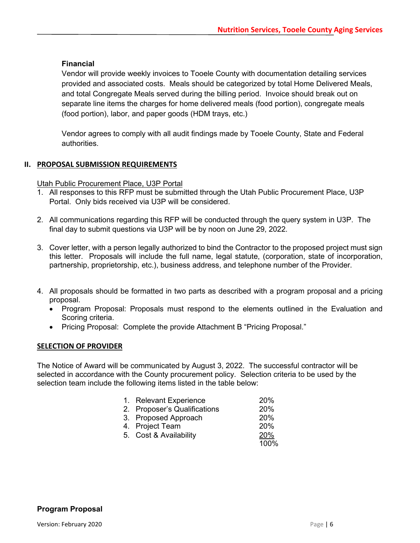#### **Financial**

Vendor will provide weekly invoices to Tooele County with documentation detailing services provided and associated costs. Meals should be categorized by total Home Delivered Meals, and total Congregate Meals served during the billing period. Invoice should break out on separate line items the charges for home delivered meals (food portion), congregate meals (food portion), labor, and paper goods (HDM trays, etc.)

Vendor agrees to comply with all audit findings made by Tooele County, State and Federal authorities.

#### **II. PROPOSAL SUBMISSION REQUIREMENTS**

Utah Public Procurement Place, U3P Portal

- 1. All responses to this RFP must be submitted through the Utah Public Procurement Place, U3P Portal. Only bids received via U3P will be considered.
- 2. All communications regarding this RFP will be conducted through the query system in U3P. The final day to submit questions via U3P will be by noon on June 29, 2022.
- 3. Cover letter, with a person legally authorized to bind the Contractor to the proposed project must sign this letter. Proposals will include the full name, legal statute, (corporation, state of incorporation, partnership, proprietorship, etc.), business address, and telephone number of the Provider.
- 4. All proposals should be formatted in two parts as described with a program proposal and a pricing proposal.
	- Program Proposal: Proposals must respond to the elements outlined in the Evaluation and Scoring criteria.
	- Pricing Proposal: Complete the provide Attachment B "Pricing Proposal."

#### **SELECTION OF PROVIDER**

The Notice of Award will be communicated by August 3, 2022. The successful contractor will be selected in accordance with the County procurement policy. Selection criteria to be used by the selection team include the following items listed in the table below:

| 1. Relevant Experience       | 20%  |
|------------------------------|------|
| 2. Proposer's Qualifications | 20%  |
| 3. Proposed Approach         | 20%  |
| 4. Project Team              | 20%  |
| 5. Cost & Availability       | 20%  |
|                              | 100% |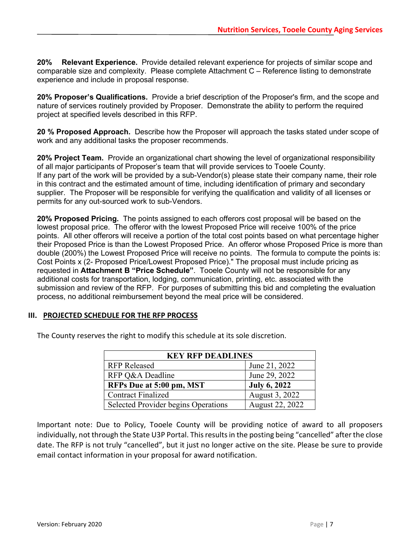**20% Relevant Experience.** Provide detailed relevant experience for projects of similar scope and comparable size and complexity. Please complete Attachment C – Reference listing to demonstrate experience and include in proposal response.

**20% Proposer's Qualifications.** Provide a brief description of the Proposer's firm, and the scope and nature of services routinely provided by Proposer. Demonstrate the ability to perform the required project at specified levels described in this RFP.

**20 % Proposed Approach.** Describe how the Proposer will approach the tasks stated under scope of work and any additional tasks the proposer recommends.

**20% Project Team.** Provide an organizational chart showing the level of organizational responsibility of all major participants of Proposer's team that will provide services to Tooele County. If any part of the work will be provided by a sub-Vendor(s) please state their company name, their role in this contract and the estimated amount of time, including identification of primary and secondary supplier. The Proposer will be responsible for verifying the qualification and validity of all licenses or permits for any out-sourced work to sub-Vendors.

**20% Proposed Pricing.** The points assigned to each offerors cost proposal will be based on the lowest proposal price. The offeror with the lowest Proposed Price will receive 100% of the price points. All other offerors will receive a portion of the total cost points based on what percentage higher their Proposed Price is than the Lowest Proposed Price. An offeror whose Proposed Price is more than double (200%) the Lowest Proposed Price will receive no points. The formula to compute the points is: Cost Points x (2- Proposed Price/Lowest Proposed Price)." The proposal must include pricing as requested in **Attachment B "Price Schedule"**. Tooele County will not be responsible for any additional costs for transportation, lodging, communication, printing, etc. associated with the submission and review of the RFP. For purposes of submitting this bid and completing the evaluation process, no additional reimbursement beyond the meal price will be considered.

#### **III. PROJECTED SCHEDULE FOR THE RFP PROCESS**

| <b>KEY RFP DEADLINES</b>                   |                     |
|--------------------------------------------|---------------------|
| <b>RFP</b> Released                        | June 21, 2022       |
| RFP Q&A Deadline                           | June 29, 2022       |
| RFPs Due at 5:00 pm, MST                   | <b>July 6, 2022</b> |
| <b>Contract Finalized</b>                  | August 3, 2022      |
| <b>Selected Provider begins Operations</b> | August 22, 2022     |

The County reserves the right to modify this schedule at its sole discretion.

Important note: Due to Policy, Tooele County will be providing notice of award to all proposers individually, not through the State U3P Portal. This results in the posting being "cancelled" after the close date. The RFP is not truly "cancelled", but it just no longer active on the site. Please be sure to provide email contact information in your proposal for award notification.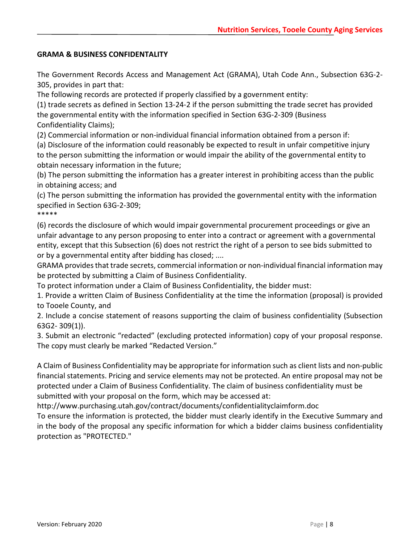#### **GRAMA & BUSINESS CONFIDENTALITY**

The Government Records Access and Management Act (GRAMA), Utah Code Ann., Subsection 63G-2- 305, provides in part that:

The following records are protected if properly classified by a government entity:

(1) trade secrets as defined in Section 13-24-2 if the person submitting the trade secret has provided the governmental entity with the information specified in Section 63G-2-309 (Business Confidentiality Claims);

(2) Commercial information or non-individual financial information obtained from a person if:

(a) Disclosure of the information could reasonably be expected to result in unfair competitive injury to the person submitting the information or would impair the ability of the governmental entity to obtain necessary information in the future;

(b) The person submitting the information has a greater interest in prohibiting access than the public in obtaining access; and

(c) The person submitting the information has provided the governmental entity with the information specified in Section 63G-2-309; \*\*\*\*\*

(6) records the disclosure of which would impair governmental procurement proceedings or give an unfair advantage to any person proposing to enter into a contract or agreement with a governmental entity, except that this Subsection (6) does not restrict the right of a person to see bids submitted to or by a governmental entity after bidding has closed; ....

GRAMA provides that trade secrets, commercial information or non-individual financial information may be protected by submitting a Claim of Business Confidentiality.

To protect information under a Claim of Business Confidentiality, the bidder must:

1. Provide a written Claim of Business Confidentiality at the time the information (proposal) is provided to Tooele County, and

2. Include a concise statement of reasons supporting the claim of business confidentiality (Subsection 63G2- 309(1)).

3. Submit an electronic "redacted" (excluding protected information) copy of your proposal response. The copy must clearly be marked "Redacted Version."

A Claim of Business Confidentiality may be appropriate for information such as client lists and non-public financial statements. Pricing and service elements may not be protected. An entire proposal may not be protected under a Claim of Business Confidentiality. The claim of business confidentiality must be submitted with your proposal on the form, which may be accessed at:

http://www.purchasing.utah.gov/contract/documents/confidentialityclaimform.doc

To ensure the information is protected, the bidder must clearly identify in the Executive Summary and in the body of the proposal any specific information for which a bidder claims business confidentiality protection as "PROTECTED."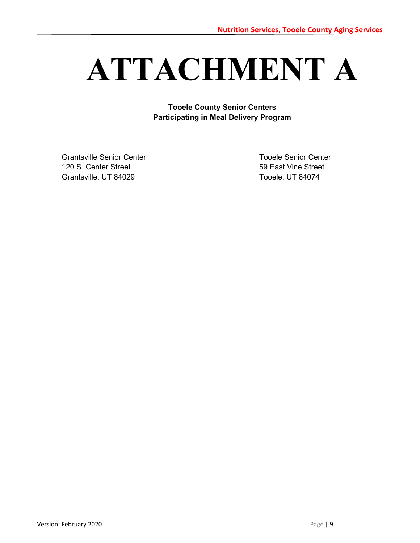## **ATTACHMENT A**

**Tooele County Senior Centers Participating in Meal Delivery Program**

Grantsville Senior Center Tooele Senior Center 120 S. Center Street 69 East Vine Street Grantsville, UT 84029 Tooele, UT 84074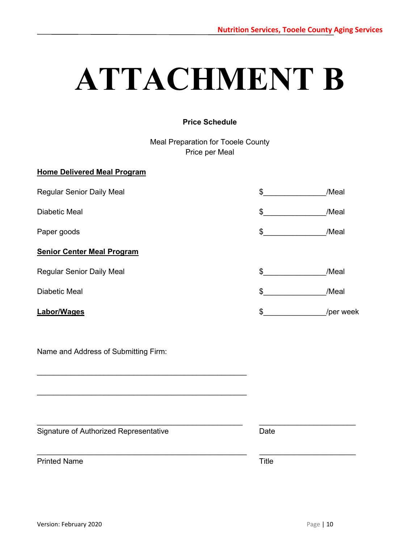### **ATTACHMENT B**

#### **Price Schedule**

Meal Preparation for Tooele County Price per Meal

#### **Home Delivered Meal Program**

| <b>Regular Senior Daily Meal</b>  | \$<br>/Meal     |
|-----------------------------------|-----------------|
| Diabetic Meal                     | \$<br>/Meal     |
| Paper goods                       | \$<br>/Meal     |
| <b>Senior Center Meal Program</b> |                 |
| <b>Regular Senior Daily Meal</b>  | \$<br>/Meal     |
| <b>Diabetic Meal</b>              | \$<br>/Meal     |
| Labor/Wages                       | \$<br>/per week |
|                                   |                 |

 $\_$  , and the set of the set of the set of the set of the set of the set of the set of the set of the set of the set of the set of the set of the set of the set of the set of the set of the set of the set of the set of th

\_\_\_\_\_\_\_\_\_\_\_\_\_\_\_\_\_\_\_\_\_\_\_\_\_\_\_\_\_\_\_\_\_\_\_\_\_\_\_\_\_\_\_\_\_\_\_\_\_\_ \_\_\_\_\_\_\_\_\_\_\_\_\_\_\_\_\_\_\_\_\_\_\_

Name and Address of Submitting Firm:

 $\frac{1}{2}$  ,  $\frac{1}{2}$  ,  $\frac{1}{2}$  ,  $\frac{1}{2}$  ,  $\frac{1}{2}$  ,  $\frac{1}{2}$  ,  $\frac{1}{2}$  ,  $\frac{1}{2}$  ,  $\frac{1}{2}$  ,  $\frac{1}{2}$  ,  $\frac{1}{2}$  ,  $\frac{1}{2}$  ,  $\frac{1}{2}$  ,  $\frac{1}{2}$  ,  $\frac{1}{2}$  ,  $\frac{1}{2}$  ,  $\frac{1}{2}$  ,  $\frac{1}{2}$  ,  $\frac{1$ 

 $\mathcal{L}_\text{max}$  , and the contract of the contract of the contract of the contract of the contract of the contract of the contract of the contract of the contract of the contract of the contract of the contract of the contr

Signature of Authorized Representative **Date** Date

Printed Name Title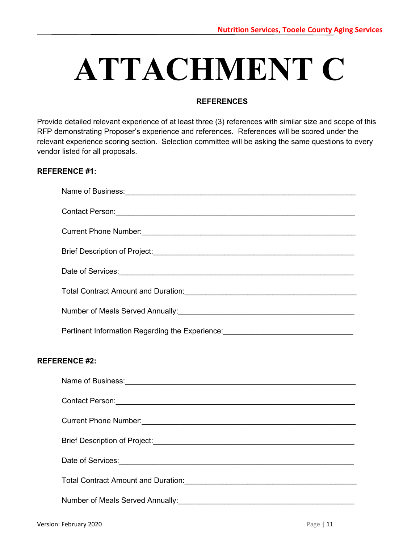# **ATTACHMENT C**

#### **REFERENCES**

Provide detailed relevant experience of at least three (3) references with similar size and scope of this RFP demonstrating Proposer's experience and references. References will be scored under the relevant experience scoring section. Selection committee will be asking the same questions to every vendor listed for all proposals.

#### **REFERENCE #1:**

| Pertinent Information Regarding the Experience: ________________________________                                                                                                                                                     |  |  |
|--------------------------------------------------------------------------------------------------------------------------------------------------------------------------------------------------------------------------------------|--|--|
| <b>REFERENCE #2:</b>                                                                                                                                                                                                                 |  |  |
| Name of Business: <u>contained and a series of Business and American and Street and American and Street and American and American and American and American and American and American and American and American and American and</u> |  |  |
|                                                                                                                                                                                                                                      |  |  |
|                                                                                                                                                                                                                                      |  |  |
|                                                                                                                                                                                                                                      |  |  |
| Date of Services: <u>Contract of Services:</u> Contract of Services: Contract of Services: Contract of Services: Contract of Services: Contract of Services: Contract of Services: Contract of Services: Contract of Services: Cont  |  |  |
|                                                                                                                                                                                                                                      |  |  |
|                                                                                                                                                                                                                                      |  |  |